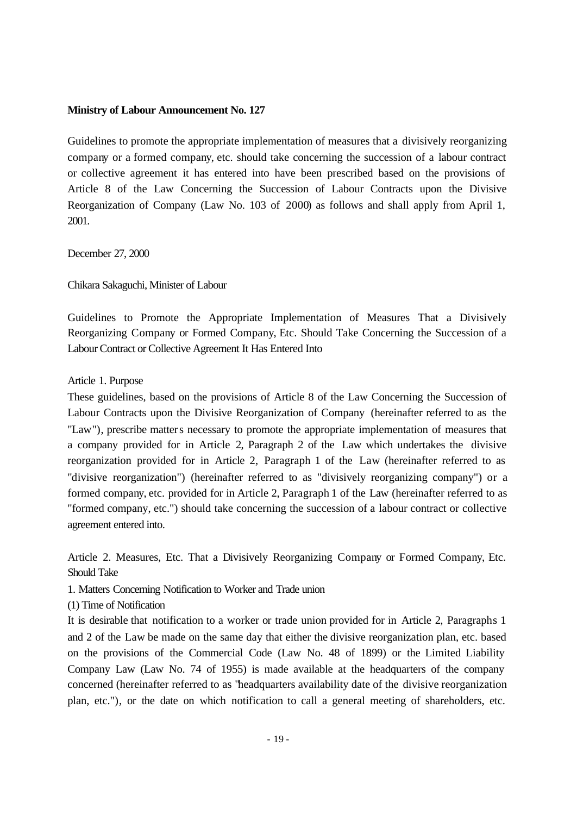### **Ministry of Labour Announcement No. 127**

Guidelines to promote the appropriate implementation of measures that a divisively reorganizing company or a formed company, etc. should take concerning the succession of a labour contract or collective agreement it has entered into have been prescribed based on the provisions of Article 8 of the Law Concerning the Succession of Labour Contracts upon the Divisive Reorganization of Company (Law No. 103 of 2000) as follows and shall apply from April 1, 2001.

December 27, 2000

Chikara Sakaguchi, Minister of Labour

Guidelines to Promote the Appropriate Implementation of Measures That a Divisively Reorganizing Company or Formed Company, Etc. Should Take Concerning the Succession of a Labour Contract or Collective Agreement It Has Entered Into

Article 1. Purpose

These guidelines, based on the provisions of Article 8 of the Law Concerning the Succession of Labour Contracts upon the Divisive Reorganization of Company (hereinafter referred to as the "Law"), prescribe matters necessary to promote the appropriate implementation of measures that a company provided for in Article 2, Paragraph 2 of the Law which undertakes the divisive reorganization provided for in Article 2, Paragraph 1 of the Law (hereinafter referred to as "divisive reorganization") (hereinafter referred to as "divisively reorganizing company") or a formed company, etc. provided for in Article 2, Paragraph 1 of the Law (hereinafter referred to as "formed company, etc.") should take concerning the succession of a labour contract or collective agreement entered into.

Article 2. Measures, Etc. That a Divisively Reorganizing Company or Formed Company, Etc. Should Take

- 1. Matters Concerning Notification to Worker and Trade union
- (1) Time of Notification

It is desirable that notification to a worker or trade union provided for in Article 2, Paragraphs 1 and 2 of the Law be made on the same day that either the divisive reorganization plan, etc. based on the provisions of the Commercial Code (Law No. 48 of 1899) or the Limited Liability Company Law (Law No. 74 of 1955) is made available at the headquarters of the company concerned (hereinafter referred to as "headquarters availability date of the divisive reorganization plan, etc."), or the date on which notification to call a general meeting of shareholders, etc.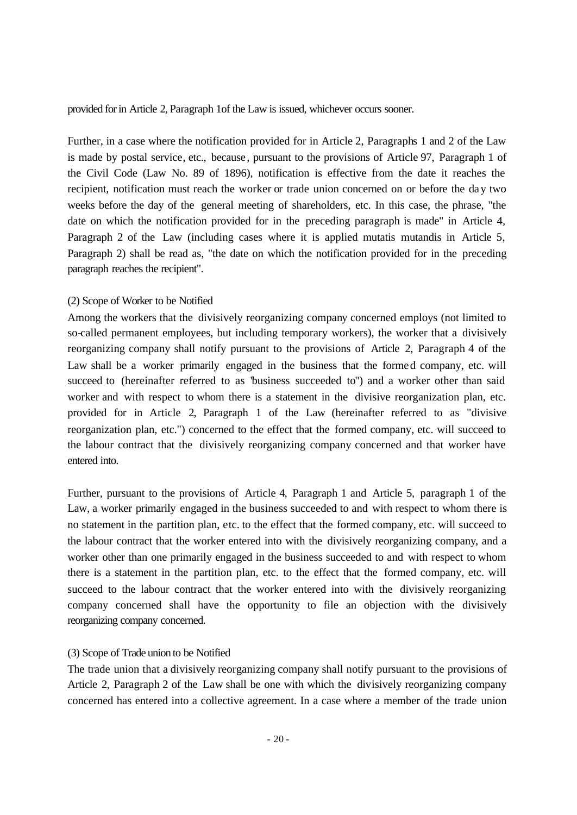provided for in Article 2, Paragraph 1of the Law is issued, whichever occurs sooner.

Further, in a case where the notification provided for in Article 2, Paragraphs 1 and 2 of the Law is made by postal service, etc., because, pursuant to the provisions of Article 97, Paragraph 1 of the Civil Code (Law No. 89 of 1896), notification is effective from the date it reaches the recipient, notification must reach the worker or trade union concerned on or before the day two weeks before the day of the general meeting of shareholders, etc. In this case, the phrase, "the date on which the notification provided for in the preceding paragraph is made" in Article 4, Paragraph 2 of the Law (including cases where it is applied mutatis mutandis in Article 5, Paragraph 2) shall be read as, "the date on which the notification provided for in the preceding paragraph reaches the recipient".

### (2) Scope of Worker to be Notified

Among the workers that the divisively reorganizing company concerned employs (not limited to so-called permanent employees, but including temporary workers), the worker that a divisively reorganizing company shall notify pursuant to the provisions of Article 2, Paragraph 4 of the Law shall be a worker primarily engaged in the business that the formed company, etc. will succeed to (hereinafter referred to as "business succeeded to") and a worker other than said worker and with respect to whom there is a statement in the divisive reorganization plan, etc. provided for in Article 2, Paragraph 1 of the Law (hereinafter referred to as "divisive reorganization plan, etc.") concerned to the effect that the formed company, etc. will succeed to the labour contract that the divisively reorganizing company concerned and that worker have entered into.

Further, pursuant to the provisions of Article 4, Paragraph 1 and Article 5, paragraph 1 of the Law, a worker primarily engaged in the business succeeded to and with respect to whom there is no statement in the partition plan, etc. to the effect that the formed company, etc. will succeed to the labour contract that the worker entered into with the divisively reorganizing company, and a worker other than one primarily engaged in the business succeeded to and with respect to whom there is a statement in the partition plan, etc. to the effect that the formed company, etc. will succeed to the labour contract that the worker entered into with the divisively reorganizing company concerned shall have the opportunity to file an objection with the divisively reorganizing company concerned.

### (3) Scope of Trade union to be Notified

The trade union that a divisively reorganizing company shall notify pursuant to the provisions of Article 2, Paragraph 2 of the Law shall be one with which the divisively reorganizing company concerned has entered into a collective agreement. In a case where a member of the trade union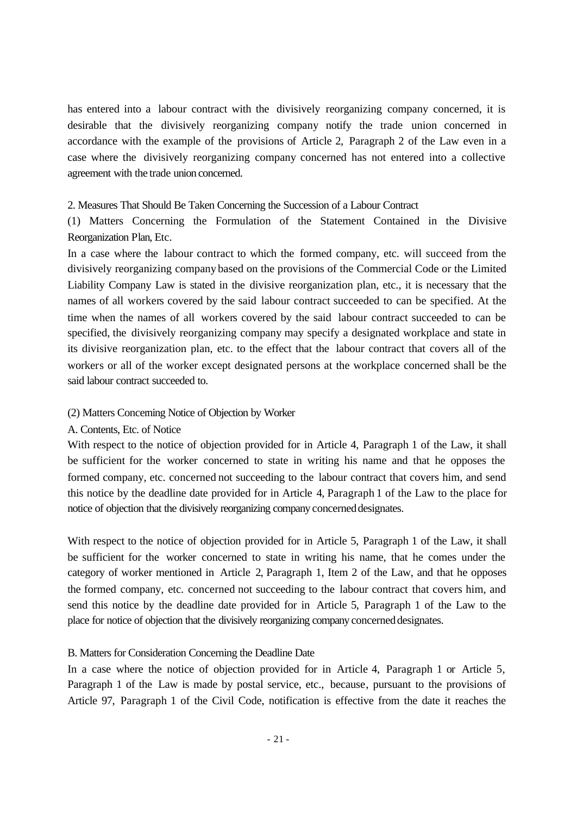has entered into a labour contract with the divisively reorganizing company concerned, it is desirable that the divisively reorganizing company notify the trade union concerned in accordance with the example of the provisions of Article 2, Paragraph 2 of the Law even in a case where the divisively reorganizing company concerned has not entered into a collective agreement with the trade union concerned.

#### 2. Measures That Should Be Taken Concerning the Succession of a Labour Contract

(1) Matters Concerning the Formulation of the Statement Contained in the Divisive Reorganization Plan, Etc.

In a case where the labour contract to which the formed company, etc. will succeed from the divisively reorganizing company based on the provisions of the Commercial Code or the Limited Liability Company Law is stated in the divisive reorganization plan, etc., it is necessary that the names of all workers covered by the said labour contract succeeded to can be specified. At the time when the names of all workers covered by the said labour contract succeeded to can be specified, the divisively reorganizing company may specify a designated workplace and state in its divisive reorganization plan, etc. to the effect that the labour contract that covers all of the workers or all of the worker except designated persons at the workplace concerned shall be the said labour contract succeeded to.

### (2) Matters Concerning Notice of Objection by Worker

#### A. Contents, Etc. of Notice

With respect to the notice of objection provided for in Article 4, Paragraph 1 of the Law, it shall be sufficient for the worker concerned to state in writing his name and that he opposes the formed company, etc. concerned not succeeding to the labour contract that covers him, and send this notice by the deadline date provided for in Article 4, Paragraph 1 of the Law to the place for notice of objection that the divisively reorganizing company concerned designates.

With respect to the notice of objection provided for in Article 5, Paragraph 1 of the Law, it shall be sufficient for the worker concerned to state in writing his name, that he comes under the category of worker mentioned in Article 2, Paragraph 1, Item 2 of the Law, and that he opposes the formed company, etc. concerned not succeeding to the labour contract that covers him, and send this notice by the deadline date provided for in Article 5, Paragraph 1 of the Law to the place for notice of objection that the divisively reorganizing company concerned designates.

### B. Matters for Consideration Concerning the Deadline Date

In a case where the notice of objection provided for in Article 4, Paragraph 1 or Article 5, Paragraph 1 of the Law is made by postal service, etc., because, pursuant to the provisions of Article 97, Paragraph 1 of the Civil Code, notification is effective from the date it reaches the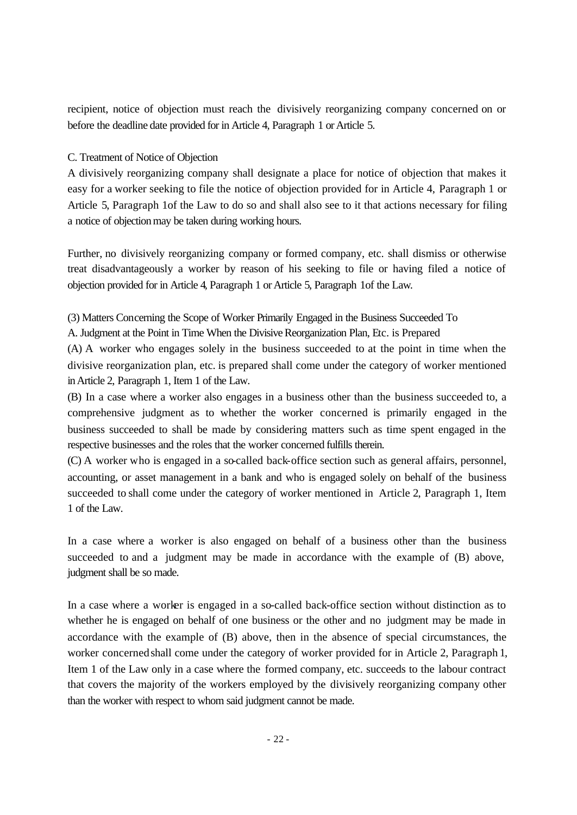recipient, notice of objection must reach the divisively reorganizing company concerned on or before the deadline date provided for in Article 4, Paragraph 1 or Article 5.

# C. Treatment of Notice of Objection

A divisively reorganizing company shall designate a place for notice of objection that makes it easy for a worker seeking to file the notice of objection provided for in Article 4, Paragraph 1 or Article 5, Paragraph 1of the Law to do so and shall also see to it that actions necessary for filing a notice of objection may be taken during working hours.

Further, no divisively reorganizing company or formed company, etc. shall dismiss or otherwise treat disadvantageously a worker by reason of his seeking to file or having filed a notice of objection provided for in Article 4, Paragraph 1 or Article 5, Paragraph 1of the Law.

(3) Matters Concerning the Scope of Worker Primarily Engaged in the Business Succeeded To

A. Judgment at the Point in Time When the Divisive Reorganization Plan, Etc. is Prepared

(A) A worker who engages solely in the business succeeded to at the point in time when the divisive reorganization plan, etc. is prepared shall come under the category of worker mentioned in Article 2, Paragraph 1, Item 1 of the Law.

(B) In a case where a worker also engages in a business other than the business succeeded to, a comprehensive judgment as to whether the worker concerned is primarily engaged in the business succeeded to shall be made by considering matters such as time spent engaged in the respective businesses and the roles that the worker concerned fulfills therein.

(C) A worker who is engaged in a so-called back-office section such as general affairs, personnel, accounting, or asset management in a bank and who is engaged solely on behalf of the business succeeded to shall come under the category of worker mentioned in Article 2, Paragraph 1, Item 1 of the Law.

In a case where a worker is also engaged on behalf of a business other than the business succeeded to and a judgment may be made in accordance with the example of (B) above, judgment shall be so made.

In a case where a worker is engaged in a so-called back-office section without distinction as to whether he is engaged on behalf of one business or the other and no judgment may be made in accordance with the example of (B) above, then in the absence of special circumstances, the worker concerned shall come under the category of worker provided for in Article 2, Paragraph 1, Item 1 of the Law only in a case where the formed company, etc. succeeds to the labour contract that covers the majority of the workers employed by the divisively reorganizing company other than the worker with respect to whom said judgment cannot be made.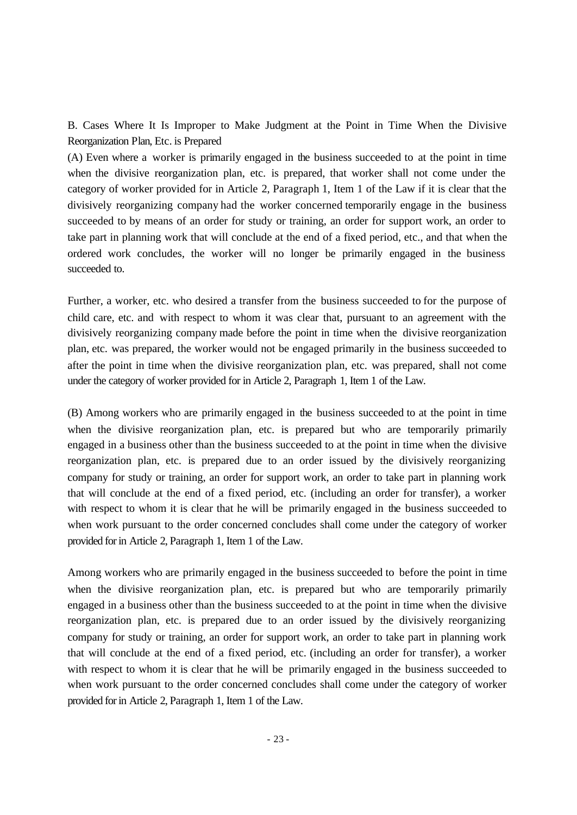B. Cases Where It Is Improper to Make Judgment at the Point in Time When the Divisive Reorganization Plan, Etc. is Prepared

(A) Even where a worker is primarily engaged in the business succeeded to at the point in time when the divisive reorganization plan, etc. is prepared, that worker shall not come under the category of worker provided for in Article 2, Paragraph 1, Item 1 of the Law if it is clear that the divisively reorganizing company had the worker concerned temporarily engage in the business succeeded to by means of an order for study or training, an order for support work, an order to take part in planning work that will conclude at the end of a fixed period, etc., and that when the ordered work concludes, the worker will no longer be primarily engaged in the business succeeded to.

Further, a worker, etc. who desired a transfer from the business succeeded to for the purpose of child care, etc. and with respect to whom it was clear that, pursuant to an agreement with the divisively reorganizing company made before the point in time when the divisive reorganization plan, etc. was prepared, the worker would not be engaged primarily in the business succeeded to after the point in time when the divisive reorganization plan, etc. was prepared, shall not come under the category of worker provided for in Article 2, Paragraph 1, Item 1 of the Law.

(B) Among workers who are primarily engaged in the business succeeded to at the point in time when the divisive reorganization plan, etc. is prepared but who are temporarily primarily engaged in a business other than the business succeeded to at the point in time when the divisive reorganization plan, etc. is prepared due to an order issued by the divisively reorganizing company for study or training, an order for support work, an order to take part in planning work that will conclude at the end of a fixed period, etc. (including an order for transfer), a worker with respect to whom it is clear that he will be primarily engaged in the business succeeded to when work pursuant to the order concerned concludes shall come under the category of worker provided for in Article 2, Paragraph 1, Item 1 of the Law.

Among workers who are primarily engaged in the business succeeded to before the point in time when the divisive reorganization plan, etc. is prepared but who are temporarily primarily engaged in a business other than the business succeeded to at the point in time when the divisive reorganization plan, etc. is prepared due to an order issued by the divisively reorganizing company for study or training, an order for support work, an order to take part in planning work that will conclude at the end of a fixed period, etc. (including an order for transfer), a worker with respect to whom it is clear that he will be primarily engaged in the business succeeded to when work pursuant to the order concerned concludes shall come under the category of worker provided for in Article 2, Paragraph 1, Item 1 of the Law.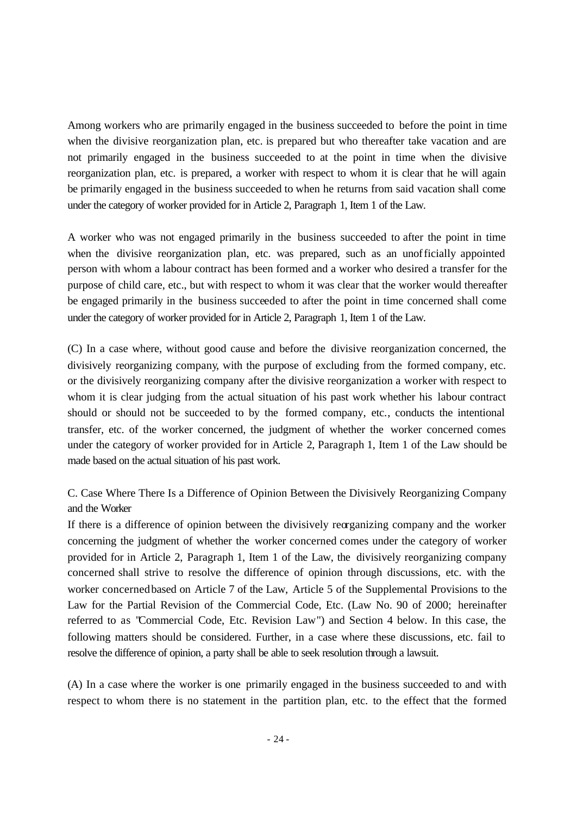Among workers who are primarily engaged in the business succeeded to before the point in time when the divisive reorganization plan, etc. is prepared but who thereafter take vacation and are not primarily engaged in the business succeeded to at the point in time when the divisive reorganization plan, etc. is prepared, a worker with respect to whom it is clear that he will again be primarily engaged in the business succeeded to when he returns from said vacation shall come under the category of worker provided for in Article 2, Paragraph 1, Item 1 of the Law.

A worker who was not engaged primarily in the business succeeded to after the point in time when the divisive reorganization plan, etc. was prepared, such as an unofficially appointed person with whom a labour contract has been formed and a worker who desired a transfer for the purpose of child care, etc., but with respect to whom it was clear that the worker would thereafter be engaged primarily in the business succeeded to after the point in time concerned shall come under the category of worker provided for in Article 2, Paragraph 1, Item 1 of the Law.

(C) In a case where, without good cause and before the divisive reorganization concerned, the divisively reorganizing company, with the purpose of excluding from the formed company, etc. or the divisively reorganizing company after the divisive reorganization a worker with respect to whom it is clear judging from the actual situation of his past work whether his labour contract should or should not be succeeded to by the formed company, etc., conducts the intentional transfer, etc. of the worker concerned, the judgment of whether the worker concerned comes under the category of worker provided for in Article 2, Paragraph 1, Item 1 of the Law should be made based on the actual situation of his past work.

C. Case Where There Is a Difference of Opinion Between the Divisively Reorganizing Company and the Worker

If there is a difference of opinion between the divisively reorganizing company and the worker concerning the judgment of whether the worker concerned comes under the category of worker provided for in Article 2, Paragraph 1, Item 1 of the Law, the divisively reorganizing company concerned shall strive to resolve the difference of opinion through discussions, etc. with the worker concerned based on Article 7 of the Law, Article 5 of the Supplemental Provisions to the Law for the Partial Revision of the Commercial Code, Etc. (Law No. 90 of 2000; hereinafter referred to as "Commercial Code, Etc. Revision Law") and Section 4 below. In this case, the following matters should be considered. Further, in a case where these discussions, etc. fail to resolve the difference of opinion, a party shall be able to seek resolution through a lawsuit.

(A) In a case where the worker is one primarily engaged in the business succeeded to and with respect to whom there is no statement in the partition plan, etc. to the effect that the formed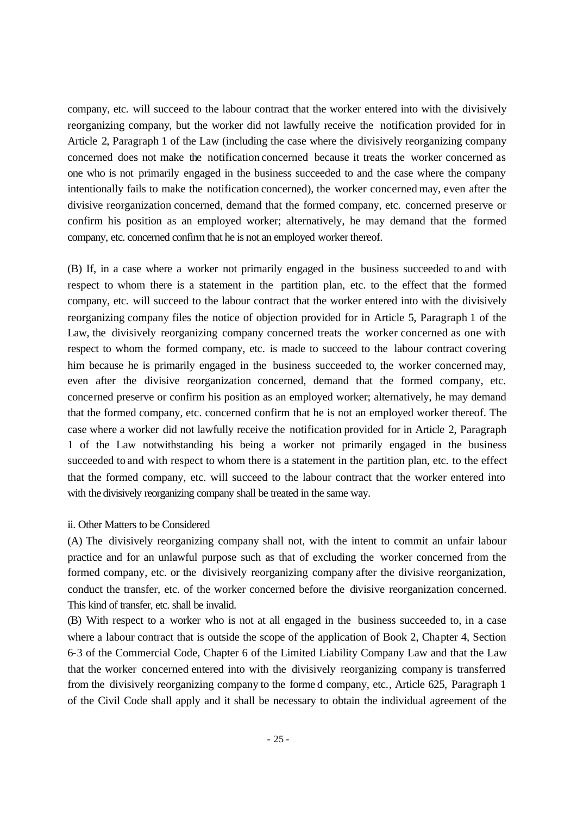company, etc. will succeed to the labour contract that the worker entered into with the divisively reorganizing company, but the worker did not lawfully receive the notification provided for in Article 2, Paragraph 1 of the Law (including the case where the divisively reorganizing company concerned does not make the notification concerned because it treats the worker concerned as one who is not primarily engaged in the business succeeded to and the case where the company intentionally fails to make the notification concerned), the worker concerned may, even after the divisive reorganization concerned, demand that the formed company, etc. concerned preserve or confirm his position as an employed worker; alternatively, he may demand that the formed company, etc. concerned confirm that he is not an employed worker thereof.

(B) If, in a case where a worker not primarily engaged in the business succeeded to and with respect to whom there is a statement in the partition plan, etc. to the effect that the formed company, etc. will succeed to the labour contract that the worker entered into with the divisively reorganizing company files the notice of objection provided for in Article 5, Paragraph 1 of the Law, the divisively reorganizing company concerned treats the worker concerned as one with respect to whom the formed company, etc. is made to succeed to the labour contract covering him because he is primarily engaged in the business succeeded to, the worker concerned may, even after the divisive reorganization concerned, demand that the formed company, etc. concerned preserve or confirm his position as an employed worker; alternatively, he may demand that the formed company, etc. concerned confirm that he is not an employed worker thereof. The case where a worker did not lawfully receive the notification provided for in Article 2, Paragraph 1 of the Law notwithstanding his being a worker not primarily engaged in the business succeeded to and with respect to whom there is a statement in the partition plan, etc. to the effect that the formed company, etc. will succeed to the labour contract that the worker entered into with the divisively reorganizing company shall be treated in the same way.

### ii. Other Matters to be Considered

(A) The divisively reorganizing company shall not, with the intent to commit an unfair labour practice and for an unlawful purpose such as that of excluding the worker concerned from the formed company, etc. or the divisively reorganizing company after the divisive reorganization, conduct the transfer, etc. of the worker concerned before the divisive reorganization concerned. This kind of transfer, etc. shall be invalid.

(B) With respect to a worker who is not at all engaged in the business succeeded to, in a case where a labour contract that is outside the scope of the application of Book 2, Chapter 4, Section 6-3 of the Commercial Code, Chapter 6 of the Limited Liability Company Law and that the Law that the worker concerned entered into with the divisively reorganizing company is transferred from the divisively reorganizing company to the forme d company, etc., Article 625, Paragraph 1 of the Civil Code shall apply and it shall be necessary to obtain the individual agreement of the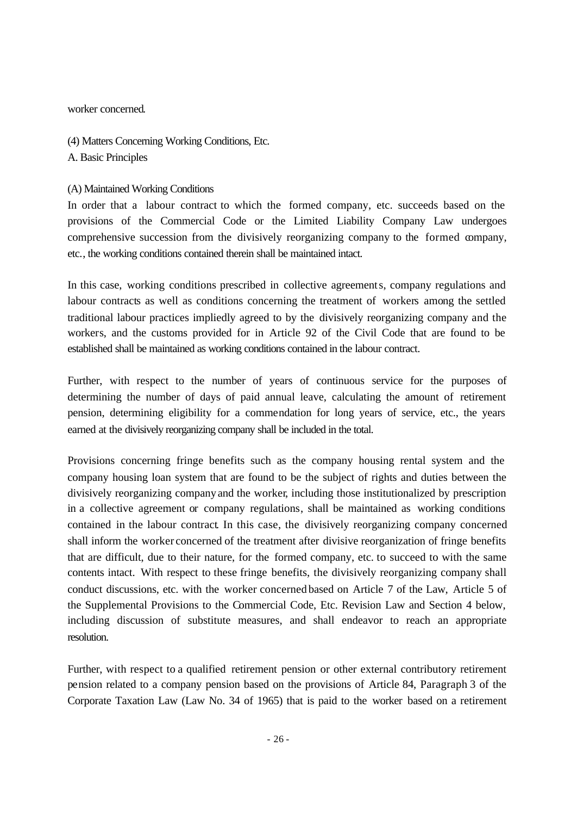worker concerned.

(4) Matters Concerning Working Conditions, Etc. A. Basic Principles

(A) Maintained Working Conditions

In order that a labour contract to which the formed company, etc. succeeds based on the provisions of the Commercial Code or the Limited Liability Company Law undergoes comprehensive succession from the divisively reorganizing company to the formed company, etc., the working conditions contained therein shall be maintained intact.

In this case, working conditions prescribed in collective agreements, company regulations and labour contracts as well as conditions concerning the treatment of workers among the settled traditional labour practices impliedly agreed to by the divisively reorganizing company and the workers, and the customs provided for in Article 92 of the Civil Code that are found to be established shall be maintained as working conditions contained in the labour contract.

Further, with respect to the number of years of continuous service for the purposes of determining the number of days of paid annual leave, calculating the amount of retirement pension, determining eligibility for a commendation for long years of service, etc., the years earned at the divisively reorganizing company shall be included in the total.

Provisions concerning fringe benefits such as the company housing rental system and the company housing loan system that are found to be the subject of rights and duties between the divisively reorganizing company and the worker, including those institutionalized by prescription in a collective agreement or company regulations, shall be maintained as working conditions contained in the labour contract. In this case, the divisively reorganizing company concerned shall inform the worker concerned of the treatment after divisive reorganization of fringe benefits that are difficult, due to their nature, for the formed company, etc. to succeed to with the same contents intact. With respect to these fringe benefits, the divisively reorganizing company shall conduct discussions, etc. with the worker concerned based on Article 7 of the Law, Article 5 of the Supplemental Provisions to the Commercial Code, Etc. Revision Law and Section 4 below, including discussion of substitute measures, and shall endeavor to reach an appropriate resolution.

Further, with respect to a qualified retirement pension or other external contributory retirement pension related to a company pension based on the provisions of Article 84, Paragraph 3 of the Corporate Taxation Law (Law No. 34 of 1965) that is paid to the worker based on a retirement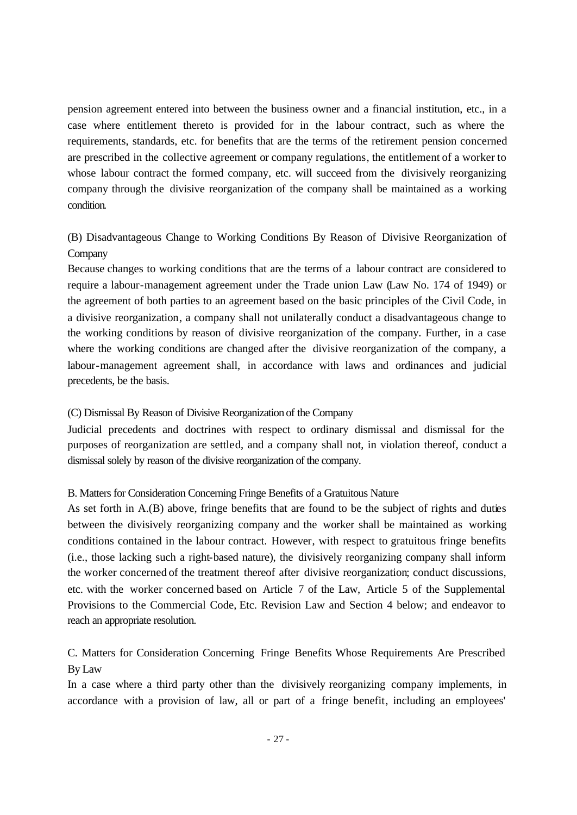pension agreement entered into between the business owner and a financial institution, etc., in a case where entitlement thereto is provided for in the labour contract, such as where the requirements, standards, etc. for benefits that are the terms of the retirement pension concerned are prescribed in the collective agreement or company regulations, the entitlement of a worker to whose labour contract the formed company, etc. will succeed from the divisively reorganizing company through the divisive reorganization of the company shall be maintained as a working condition.

(B) Disadvantageous Change to Working Conditions By Reason of Divisive Reorganization of **Company** 

Because changes to working conditions that are the terms of a labour contract are considered to require a labour-management agreement under the Trade union Law (Law No. 174 of 1949) or the agreement of both parties to an agreement based on the basic principles of the Civil Code, in a divisive reorganization, a company shall not unilaterally conduct a disadvantageous change to the working conditions by reason of divisive reorganization of the company. Further, in a case where the working conditions are changed after the divisive reorganization of the company, a labour-management agreement shall, in accordance with laws and ordinances and judicial precedents, be the basis.

## (C) Dismissal By Reason of Divisive Reorganization of the Company

Judicial precedents and doctrines with respect to ordinary dismissal and dismissal for the purposes of reorganization are settled, and a company shall not, in violation thereof, conduct a dismissal solely by reason of the divisive reorganization of the company.

### B. Matters for Consideration Concerning Fringe Benefits of a Gratuitous Nature

As set forth in A.(B) above, fringe benefits that are found to be the subject of rights and duties between the divisively reorganizing company and the worker shall be maintained as working conditions contained in the labour contract. However, with respect to gratuitous fringe benefits (i.e., those lacking such a right-based nature), the divisively reorganizing company shall inform the worker concerned of the treatment thereof after divisive reorganization; conduct discussions, etc. with the worker concerned based on Article 7 of the Law, Article 5 of the Supplemental Provisions to the Commercial Code, Etc. Revision Law and Section 4 below; and endeavor to reach an appropriate resolution.

# C. Matters for Consideration Concerning Fringe Benefits Whose Requirements Are Prescribed By Law

In a case where a third party other than the divisively reorganizing company implements, in accordance with a provision of law, all or part of a fringe benefit, including an employees'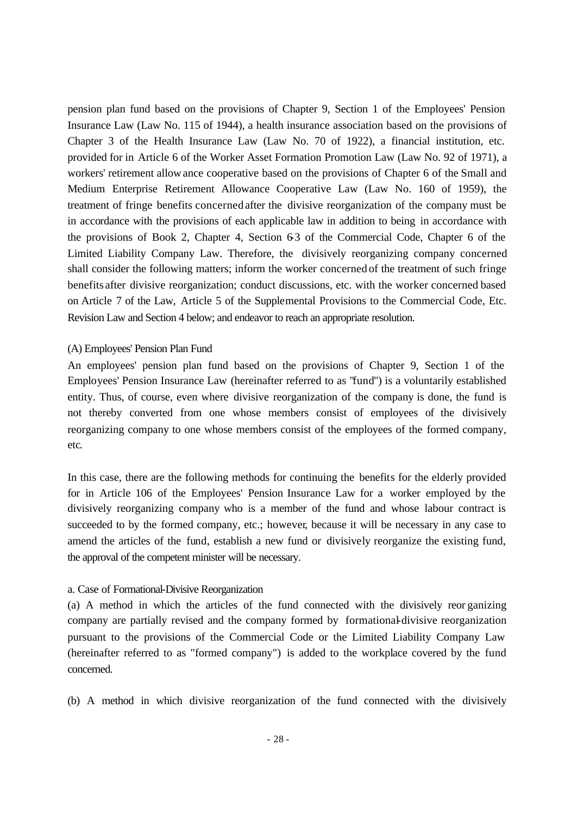pension plan fund based on the provisions of Chapter 9, Section 1 of the Employees' Pension Insurance Law (Law No. 115 of 1944), a health insurance association based on the provisions of Chapter 3 of the Health Insurance Law (Law No. 70 of 1922), a financial institution, etc. provided for in Article 6 of the Worker Asset Formation Promotion Law (Law No. 92 of 1971), a workers' retirement allowance cooperative based on the provisions of Chapter 6 of the Small and Medium Enterprise Retirement Allowance Cooperative Law (Law No. 160 of 1959), the treatment of fringe benefits concerned after the divisive reorganization of the company must be in accordance with the provisions of each applicable law in addition to being in accordance with the provisions of Book 2, Chapter 4, Section 6-3 of the Commercial Code, Chapter 6 of the Limited Liability Company Law. Therefore, the divisively reorganizing company concerned shall consider the following matters; inform the worker concerned of the treatment of such fringe benefits after divisive reorganization; conduct discussions, etc. with the worker concerned based on Article 7 of the Law, Article 5 of the Supplemental Provisions to the Commercial Code, Etc. Revision Law and Section 4 below; and endeavor to reach an appropriate resolution.

#### (A) Employees' Pension Plan Fund

An employees' pension plan fund based on the provisions of Chapter 9, Section 1 of the Employees' Pension Insurance Law (hereinafter referred to as "fund") is a voluntarily established entity. Thus, of course, even where divisive reorganization of the company is done, the fund is not thereby converted from one whose members consist of employees of the divisively reorganizing company to one whose members consist of the employees of the formed company, etc.

In this case, there are the following methods for continuing the benefits for the elderly provided for in Article 106 of the Employees' Pension Insurance Law for a worker employed by the divisively reorganizing company who is a member of the fund and whose labour contract is succeeded to by the formed company, etc.; however, because it will be necessary in any case to amend the articles of the fund, establish a new fund or divisively reorganize the existing fund, the approval of the competent minister will be necessary.

### a. Case of Formational-Divisive Reorganization

(a) A method in which the articles of the fund connected with the divisively reor ganizing company are partially revised and the company formed by formational-divisive reorganization pursuant to the provisions of the Commercial Code or the Limited Liability Company Law (hereinafter referred to as "formed company") is added to the workplace covered by the fund concerned.

(b) A method in which divisive reorganization of the fund connected with the divisively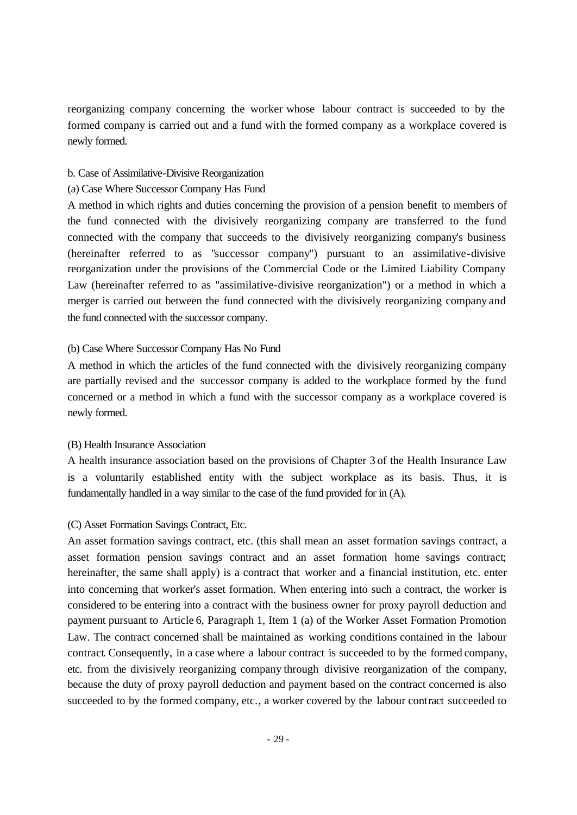reorganizing company concerning the worker whose labour contract is succeeded to by the formed company is carried out and a fund with the formed company as a workplace covered is newly formed.

## b. Case of Assimilative-Divisive Reorganization

## (a) Case Where Successor Company Has Fund

A method in which rights and duties concerning the provision of a pension benefit to members of the fund connected with the divisively reorganizing company are transferred to the fund connected with the company that succeeds to the divisively reorganizing company's business (hereinafter referred to as "successor company") pursuant to an assimilative-divisive reorganization under the provisions of the Commercial Code or the Limited Liability Company Law (hereinafter referred to as "assimilative-divisive reorganization") or a method in which a merger is carried out between the fund connected with the divisively reorganizing company and the fund connected with the successor company.

# (b) Case Where Successor Company Has No Fund

A method in which the articles of the fund connected with the divisively reorganizing company are partially revised and the successor company is added to the workplace formed by the fund concerned or a method in which a fund with the successor company as a workplace covered is newly formed.

# (B) Health Insurance Association

A health insurance association based on the provisions of Chapter 3 of the Health Insurance Law is a voluntarily established entity with the subject workplace as its basis. Thus, it is fundamentally handled in a way similar to the case of the fund provided for in (A).

# (C) Asset Formation Savings Contract, Etc.

An asset formation savings contract, etc. (this shall mean an asset formation savings contract, a asset formation pension savings contract and an asset formation home savings contract; hereinafter, the same shall apply) is a contract that worker and a financial institution, etc. enter into concerning that worker's asset formation. When entering into such a contract, the worker is considered to be entering into a contract with the business owner for proxy payroll deduction and payment pursuant to Article 6, Paragraph 1, Item 1 (a) of the Worker Asset Formation Promotion Law. The contract concerned shall be maintained as working conditions contained in the labour contract. Consequently, in a case where a labour contract is succeeded to by the formed company, etc. from the divisively reorganizing company through divisive reorganization of the company, because the duty of proxy payroll deduction and payment based on the contract concerned is also succeeded to by the formed company, etc., a worker covered by the labour contract succeeded to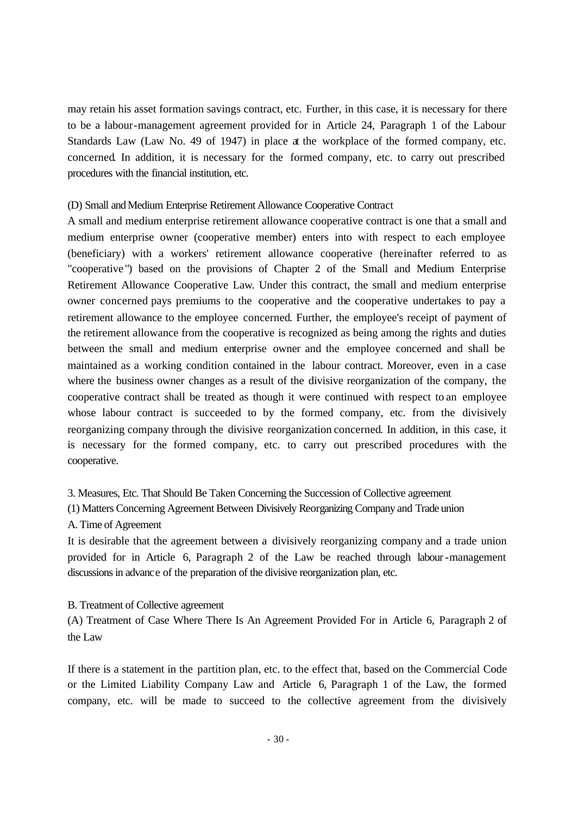may retain his asset formation savings contract, etc. Further, in this case, it is necessary for there to be a labour-management agreement provided for in Article 24, Paragraph 1 of the Labour Standards Law (Law No. 49 of 1947) in place at the workplace of the formed company, etc. concerned. In addition, it is necessary for the formed company, etc. to carry out prescribed procedures with the financial institution, etc.

### (D) Small and Medium Enterprise Retirement Allowance Cooperative Contract

A small and medium enterprise retirement allowance cooperative contract is one that a small and medium enterprise owner (cooperative member) enters into with respect to each employee (beneficiary) with a workers' retirement allowance cooperative (hereinafter referred to as "cooperative ") based on the provisions of Chapter 2 of the Small and Medium Enterprise Retirement Allowance Cooperative Law. Under this contract, the small and medium enterprise owner concerned pays premiums to the cooperative and the cooperative undertakes to pay a retirement allowance to the employee concerned. Further, the employee's receipt of payment of the retirement allowance from the cooperative is recognized as being among the rights and duties between the small and medium enterprise owner and the employee concerned and shall be maintained as a working condition contained in the labour contract. Moreover, even in a case where the business owner changes as a result of the divisive reorganization of the company, the cooperative contract shall be treated as though it were continued with respect to an employee whose labour contract is succeeded to by the formed company, etc. from the divisively reorganizing company through the divisive reorganization concerned. In addition, in this case, it is necessary for the formed company, etc. to carry out prescribed procedures with the cooperative.

3. Measures, Etc. That Should Be Taken Concerning the Succession of Collective agreement

(1) Matters Concerning Agreement Between Divisively Reorganizing Company and Trade union

## A. Time of Agreement

It is desirable that the agreement between a divisively reorganizing company and a trade union provided for in Article 6, Paragraph 2 of the Law be reached through labour-management discussions in advance of the preparation of the divisive reorganization plan, etc.

#### B. Treatment of Collective agreement

(A) Treatment of Case Where There Is An Agreement Provided For in Article 6, Paragraph 2 of the Law

If there is a statement in the partition plan, etc. to the effect that, based on the Commercial Code or the Limited Liability Company Law and Article 6, Paragraph 1 of the Law, the formed company, etc. will be made to succeed to the collective agreement from the divisively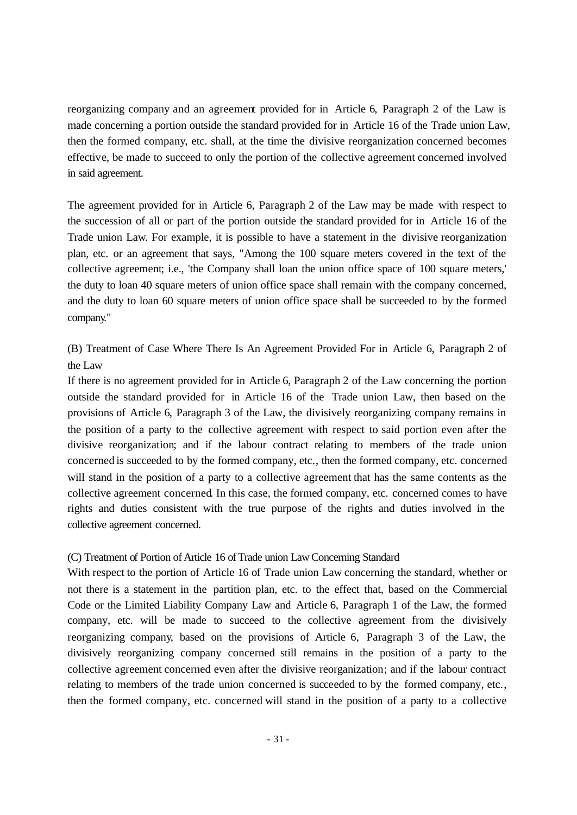reorganizing company and an agreement provided for in Article 6, Paragraph 2 of the Law is made concerning a portion outside the standard provided for in Article 16 of the Trade union Law, then the formed company, etc. shall, at the time the divisive reorganization concerned becomes effective, be made to succeed to only the portion of the collective agreement concerned involved in said agreement.

The agreement provided for in Article 6, Paragraph 2 of the Law may be made with respect to the succession of all or part of the portion outside the standard provided for in Article 16 of the Trade union Law. For example, it is possible to have a statement in the divisive reorganization plan, etc. or an agreement that says, "Among the 100 square meters covered in the text of the collective agreement; i.e., 'the Company shall loan the union office space of 100 square meters,' the duty to loan 40 square meters of union office space shall remain with the company concerned, and the duty to loan 60 square meters of union office space shall be succeeded to by the formed company."

(B) Treatment of Case Where There Is An Agreement Provided For in Article 6, Paragraph 2 of the Law

If there is no agreement provided for in Article 6, Paragraph 2 of the Law concerning the portion outside the standard provided for in Article 16 of the Trade union Law, then based on the provisions of Article 6, Paragraph 3 of the Law, the divisively reorganizing company remains in the position of a party to the collective agreement with respect to said portion even after the divisive reorganization; and if the labour contract relating to members of the trade union concerned is succeeded to by the formed company, etc., then the formed company, etc. concerned will stand in the position of a party to a collective agreement that has the same contents as the collective agreement concerned. In this case, the formed company, etc. concerned comes to have rights and duties consistent with the true purpose of the rights and duties involved in the collective agreement concerned.

## (C) Treatment of Portion of Article 16 of Trade union Law Concerning Standard

With respect to the portion of Article 16 of Trade union Law concerning the standard, whether or not there is a statement in the partition plan, etc. to the effect that, based on the Commercial Code or the Limited Liability Company Law and Article 6, Paragraph 1 of the Law, the formed company, etc. will be made to succeed to the collective agreement from the divisively reorganizing company, based on the provisions of Article 6, Paragraph 3 of the Law, the divisively reorganizing company concerned still remains in the position of a party to the collective agreement concerned even after the divisive reorganization; and if the labour contract relating to members of the trade union concerned is succeeded to by the formed company, etc., then the formed company, etc. concerned will stand in the position of a party to a collective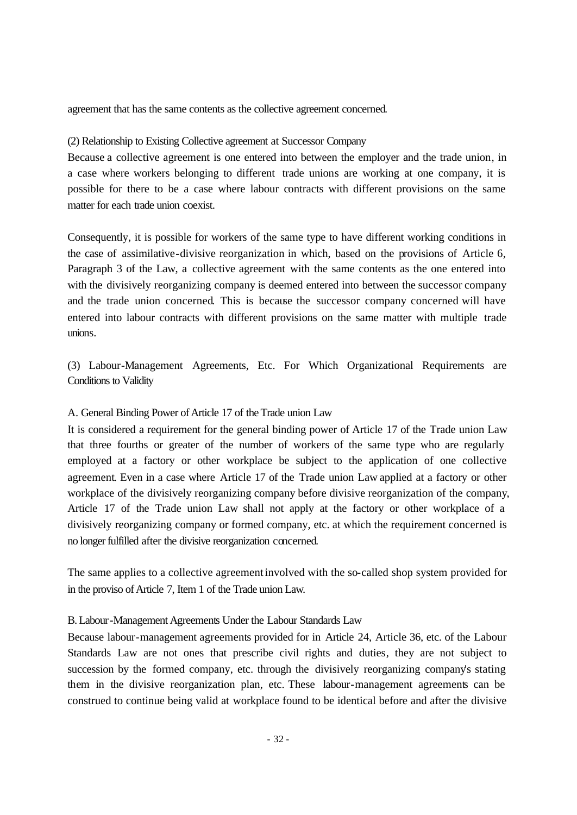agreement that has the same contents as the collective agreement concerned.

## (2) Relationship to Existing Collective agreement at Successor Company

Because a collective agreement is one entered into between the employer and the trade union, in a case where workers belonging to different trade unions are working at one company, it is possible for there to be a case where labour contracts with different provisions on the same matter for each trade union coexist.

Consequently, it is possible for workers of the same type to have different working conditions in the case of assimilative-divisive reorganization in which, based on the provisions of Article 6, Paragraph 3 of the Law, a collective agreement with the same contents as the one entered into with the divisively reorganizing company is deemed entered into between the successor company and the trade union concerned. This is because the successor company concerned will have entered into labour contracts with different provisions on the same matter with multiple trade unions.

(3) Labour-Management Agreements, Etc. For Which Organizational Requirements are Conditions to Validity

# A. General Binding Power of Article 17 of the Trade union Law

It is considered a requirement for the general binding power of Article 17 of the Trade union Law that three fourths or greater of the number of workers of the same type who are regularly employed at a factory or other workplace be subject to the application of one collective agreement. Even in a case where Article 17 of the Trade union Law applied at a factory or other workplace of the divisively reorganizing company before divisive reorganization of the company, Article 17 of the Trade union Law shall not apply at the factory or other workplace of a divisively reorganizing company or formed company, etc. at which the requirement concerned is no longer fulfilled after the divisive reorganization concerned.

The same applies to a collective agreement involved with the so-called shop system provided for in the proviso of Article 7, Item 1 of the Trade union Law.

# B. Labour-Management Agreements Under the Labour Standards Law

Because labour-management agreements provided for in Article 24, Article 36, etc. of the Labour Standards Law are not ones that prescribe civil rights and duties, they are not subject to succession by the formed company, etc. through the divisively reorganizing company's stating them in the divisive reorganization plan, etc. These labour-management agreements can be construed to continue being valid at workplace found to be identical before and after the divisive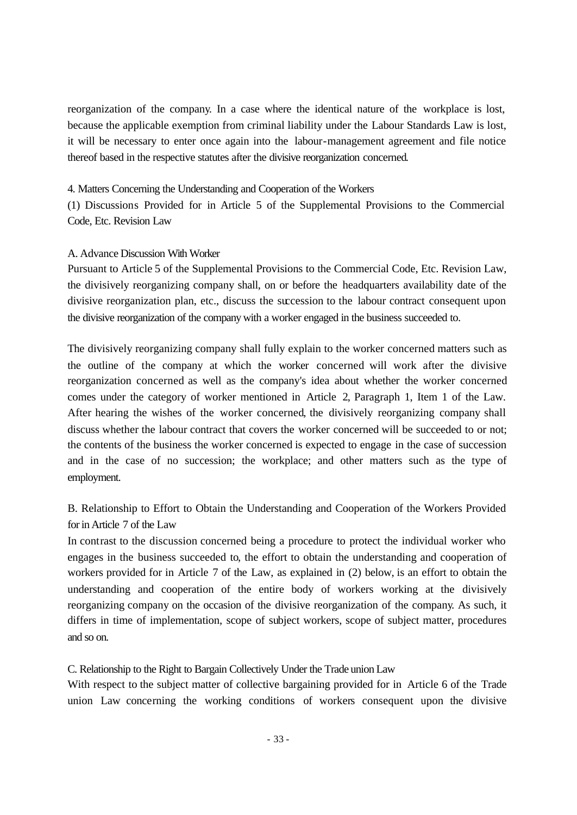reorganization of the company. In a case where the identical nature of the workplace is lost, because the applicable exemption from criminal liability under the Labour Standards Law is lost, it will be necessary to enter once again into the labour-management agreement and file notice thereof based in the respective statutes after the divisive reorganization concerned.

4. Matters Concerning the Understanding and Cooperation of the Workers

(1) Discussions Provided for in Article 5 of the Supplemental Provisions to the Commercial Code, Etc. Revision Law

# A. Advance Discussion With Worker

Pursuant to Article 5 of the Supplemental Provisions to the Commercial Code, Etc. Revision Law, the divisively reorganizing company shall, on or before the headquarters availability date of the divisive reorganization plan, etc., discuss the succession to the labour contract consequent upon the divisive reorganization of the company with a worker engaged in the business succeeded to.

The divisively reorganizing company shall fully explain to the worker concerned matters such as the outline of the company at which the worker concerned will work after the divisive reorganization concerned as well as the company's idea about whether the worker concerned comes under the category of worker mentioned in Article 2, Paragraph 1, Item 1 of the Law. After hearing the wishes of the worker concerned, the divisively reorganizing company shall discuss whether the labour contract that covers the worker concerned will be succeeded to or not; the contents of the business the worker concerned is expected to engage in the case of succession and in the case of no succession; the workplace; and other matters such as the type of employment.

B. Relationship to Effort to Obtain the Understanding and Cooperation of the Workers Provided for in Article 7 of the Law

In contrast to the discussion concerned being a procedure to protect the individual worker who engages in the business succeeded to, the effort to obtain the understanding and cooperation of workers provided for in Article 7 of the Law, as explained in (2) below, is an effort to obtain the understanding and cooperation of the entire body of workers working at the divisively reorganizing company on the occasion of the divisive reorganization of the company. As such, it differs in time of implementation, scope of subject workers, scope of subject matter, procedures and so on.

C. Relationship to the Right to Bargain Collectively Under the Trade union Law

With respect to the subject matter of collective bargaining provided for in Article 6 of the Trade union Law concerning the working conditions of workers consequent upon the divisive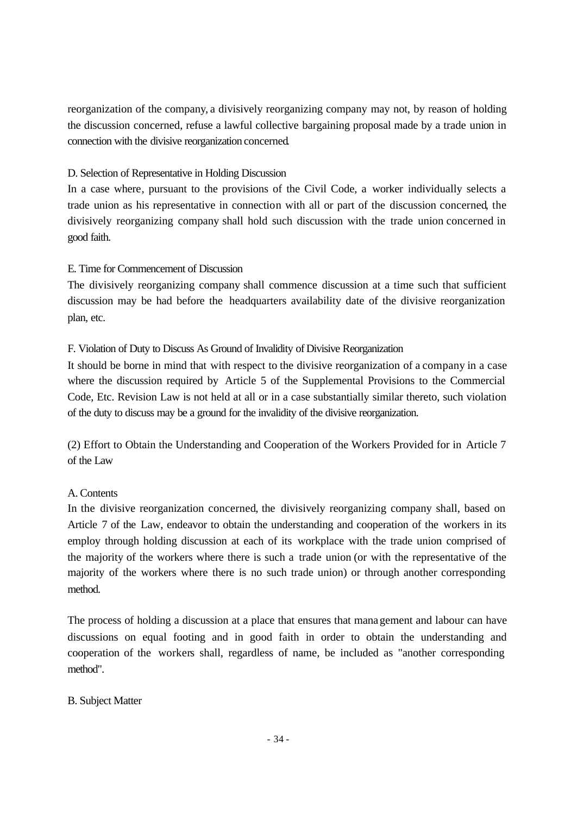reorganization of the company, a divisively reorganizing company may not, by reason of holding the discussion concerned, refuse a lawful collective bargaining proposal made by a trade union in connection with the divisive reorganization concerned.

# D. Selection of Representative in Holding Discussion

In a case where, pursuant to the provisions of the Civil Code, a worker individually selects a trade union as his representative in connection with all or part of the discussion concerned, the divisively reorganizing company shall hold such discussion with the trade union concerned in good faith.

# E. Time for Commencement of Discussion

The divisively reorganizing company shall commence discussion at a time such that sufficient discussion may be had before the headquarters availability date of the divisive reorganization plan, etc.

# F. Violation of Duty to Discuss As Ground of Invalidity of Divisive Reorganization

It should be borne in mind that with respect to the divisive reorganization of a company in a case where the discussion required by Article 5 of the Supplemental Provisions to the Commercial Code, Etc. Revision Law is not held at all or in a case substantially similar thereto, such violation of the duty to discuss may be a ground for the invalidity of the divisive reorganization.

(2) Effort to Obtain the Understanding and Cooperation of the Workers Provided for in Article 7 of the Law

# A. Contents

In the divisive reorganization concerned, the divisively reorganizing company shall, based on Article 7 of the Law, endeavor to obtain the understanding and cooperation of the workers in its employ through holding discussion at each of its workplace with the trade union comprised of the majority of the workers where there is such a trade union (or with the representative of the majority of the workers where there is no such trade union) or through another corresponding method.

The process of holding a discussion at a place that ensures that management and labour can have discussions on equal footing and in good faith in order to obtain the understanding and cooperation of the workers shall, regardless of name, be included as "another corresponding method".

# B. Subject Matter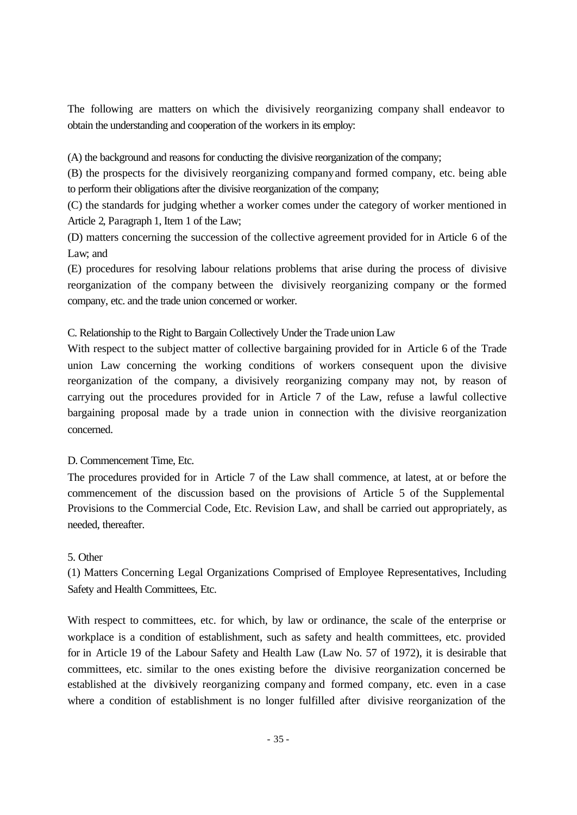The following are matters on which the divisively reorganizing company shall endeavor to obtain the understanding and cooperation of the workers in its employ:

(A) the background and reasons for conducting the divisive reorganization of the company;

(B) the prospects for the divisively reorganizing company and formed company, etc. being able to perform their obligations after the divisive reorganization of the company;

(C) the standards for judging whether a worker comes under the category of worker mentioned in Article 2, Paragraph 1, Item 1 of the Law;

(D) matters concerning the succession of the collective agreement provided for in Article 6 of the Law; and

(E) procedures for resolving labour relations problems that arise during the process of divisive reorganization of the company between the divisively reorganizing company or the formed company, etc. and the trade union concerned or worker.

C. Relationship to the Right to Bargain Collectively Under the Trade union Law

With respect to the subject matter of collective bargaining provided for in Article 6 of the Trade union Law concerning the working conditions of workers consequent upon the divisive reorganization of the company, a divisively reorganizing company may not, by reason of carrying out the procedures provided for in Article 7 of the Law, refuse a lawful collective bargaining proposal made by a trade union in connection with the divisive reorganization concerned.

# D. Commencement Time, Etc.

The procedures provided for in Article 7 of the Law shall commence, at latest, at or before the commencement of the discussion based on the provisions of Article 5 of the Supplemental Provisions to the Commercial Code, Etc. Revision Law, and shall be carried out appropriately, as needed, thereafter.

# 5. Other

(1) Matters Concerning Legal Organizations Comprised of Employee Representatives, Including Safety and Health Committees, Etc.

With respect to committees, etc. for which, by law or ordinance, the scale of the enterprise or workplace is a condition of establishment, such as safety and health committees, etc. provided for in Article 19 of the Labour Safety and Health Law (Law No. 57 of 1972), it is desirable that committees, etc. similar to the ones existing before the divisive reorganization concerned be established at the divisively reorganizing company and formed company, etc. even in a case where a condition of establishment is no longer fulfilled after divisive reorganization of the